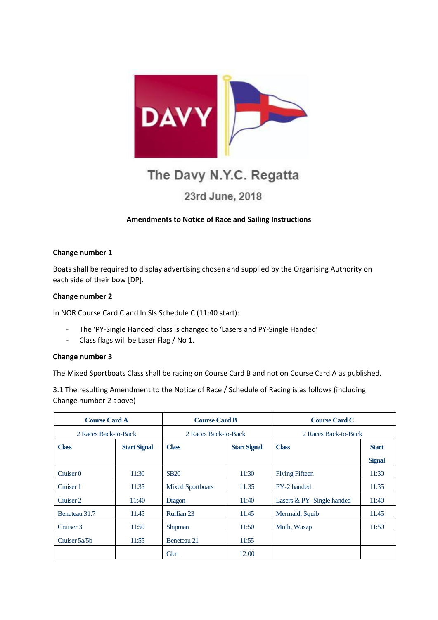

# The Davy N.Y.C. Regatta

# 23rd June, 2018

## **Amendments to Notice of Race and Sailing Instructions**

#### **Change number 1**

Boats shall be required to display advertising chosen and supplied by the Organising Authority on each side of their bow [DP].

#### **Change number 2**

In NOR Course Card C and In SIs Schedule C (11:40 start):

- The 'PY-Single Handed' class is changed to 'Lasers and PY-Single Handed'
- Class flags will be Laser Flag / No 1.

#### **Change number 3**

The Mixed Sportboats Class shall be racing on Course Card B and not on Course Card A as published.

3.1 The resulting Amendment to the Notice of Race / Schedule of Racing is as follows (including Change number 2 above)

| <b>Course Card A</b> |                     | <b>Course Card B</b>    |                     | <b>Course Card C</b>      |               |
|----------------------|---------------------|-------------------------|---------------------|---------------------------|---------------|
| 2 Races Back-to-Back |                     | 2 Races Back-to-Back    |                     | 2 Races Back-to-Back      |               |
| <b>Class</b>         | <b>Start Signal</b> | <b>Class</b>            | <b>Start Signal</b> | <b>Class</b>              | <b>Start</b>  |
|                      |                     |                         |                     |                           | <b>Signal</b> |
| Cruiser <sub>0</sub> | 11:30               | <b>SB20</b>             | 11:30               | <b>Flying Fifteen</b>     | 11:30         |
| Cruiser 1            | 11:35               | <b>Mixed Sportboats</b> | 11:35               | PY-2 handed               | 11:35         |
| Cruiser 2            | 11:40               | Dragon                  | 11:40               | Lasers & PY-Single handed | 11:40         |
| Beneteau 31.7        | 11:45               | Ruffian 23              | 11:45               | Mermaid, Squib            | 11:45         |
| Cruiser 3            | 11:50               | Shipman                 | 11:50               | Moth, Waszp               | 11:50         |
| Cruiser 5a/5b        | 11:55               | Beneteau 21             | 11:55               |                           |               |
|                      |                     | Glen                    | 12:00               |                           |               |